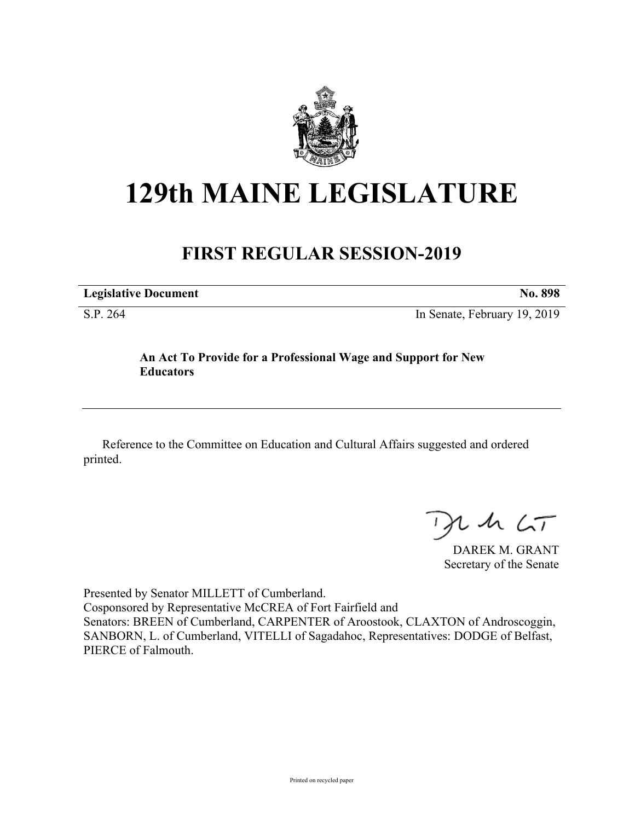

# **129th MAINE LEGISLATURE**

# **FIRST REGULAR SESSION-2019**

**Legislative Document No. 898** S.P. 264 In Senate, February 19, 2019

### **An Act To Provide for a Professional Wage and Support for New Educators**

Reference to the Committee on Education and Cultural Affairs suggested and ordered printed.

 $125$ 

DAREK M. GRANT Secretary of the Senate

Presented by Senator MILLETT of Cumberland. Cosponsored by Representative McCREA of Fort Fairfield and Senators: BREEN of Cumberland, CARPENTER of Aroostook, CLAXTON of Androscoggin, SANBORN, L. of Cumberland, VITELLI of Sagadahoc, Representatives: DODGE of Belfast, PIERCE of Falmouth.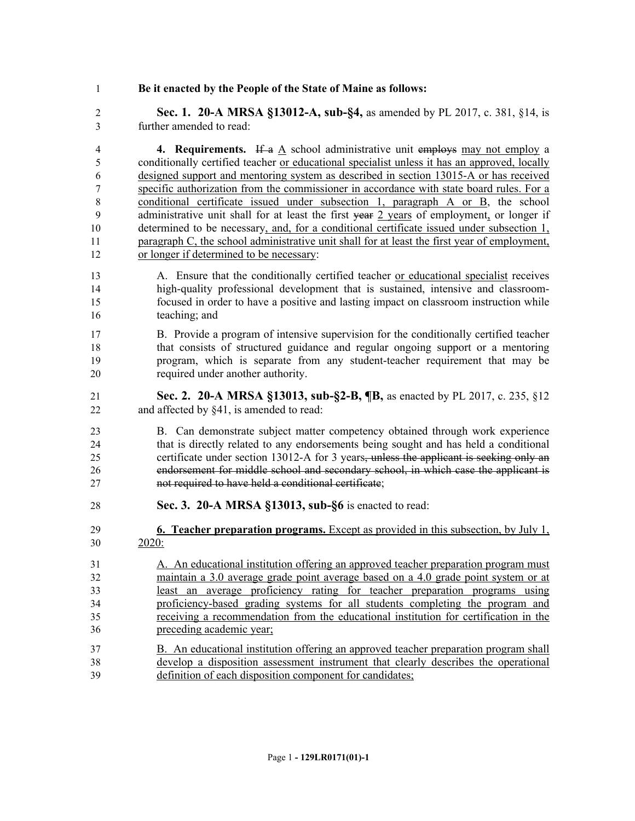#### **Be it enacted by the People of the State of Maine as follows:**

 **Sec. 1. 20-A MRSA §13012-A, sub-§4,** as amended by PL 2017, c. 381, §14, is further amended to read:

**4. Requirements.** If a A school administrative unit employs may not employ a conditionally certified teacher or educational specialist unless it has an approved, locally designed support and mentoring system as described in section 13015-A or has received specific authorization from the commissioner in accordance with state board rules. For a 8 conditional certificate issued under subsection 1, paragraph A or B, the school 9 administrative unit shall for at least the first year 2 years of employment, or longer if determined to be necessary, and, for a conditional certificate issued under subsection 1, paragraph C, the school administrative unit shall for at least the first year of employment, or longer if determined to be necessary:

- 13 A. Ensure that the conditionally certified teacher or educational specialist receives high-quality professional development that is sustained, intensive and classroom- focused in order to have a positive and lasting impact on classroom instruction while teaching; and
- B. Provide a program of intensive supervision for the conditionally certified teacher that consists of structured guidance and regular ongoing support or a mentoring program, which is separate from any student-teacher requirement that may be required under another authority.
- **Sec. 2. 20-A MRSA §13013, sub-§2-B, ¶B,** as enacted by PL 2017, c. 235, §12 22 and affected by §41, is amended to read:
- B. Can demonstrate subject matter competency obtained through work experience that is directly related to any endorsements being sought and has held a conditional 25 certificate under section 13012-A for 3 years, unless the applicant is seeking only an endorsement for middle school and secondary school, in which case the applicant is not required to have held a conditional certificate;
- **Sec. 3. 20-A MRSA §13013, sub-§6** is enacted to read:
- **6. Teacher preparation programs.** Except as provided in this subsection, by July 1, 2020:
- A. An educational institution offering an approved teacher preparation program must maintain a 3.0 average grade point average based on a 4.0 grade point system or at least an average proficiency rating for teacher preparation programs using proficiency-based grading systems for all students completing the program and receiving a recommendation from the educational institution for certification in the preceding academic year;
- B. An educational institution offering an approved teacher preparation program shall develop a disposition assessment instrument that clearly describes the operational definition of each disposition component for candidates;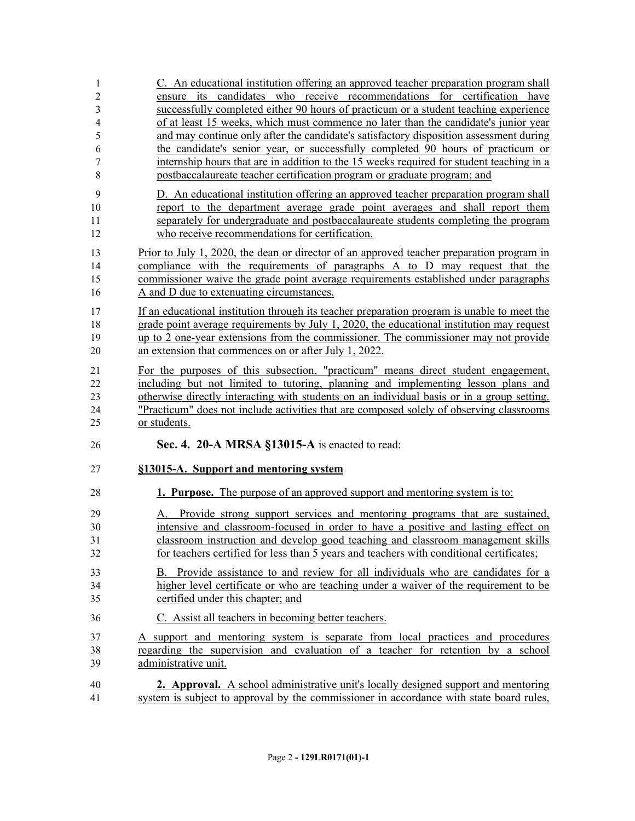| $\mathbf{1}$            | C. An educational institution offering an approved teacher preparation program shall        |  |  |  |  |
|-------------------------|---------------------------------------------------------------------------------------------|--|--|--|--|
| $\sqrt{2}$              | ensure its candidates who receive recommendations for certification have                    |  |  |  |  |
| $\overline{3}$          | successfully completed either 90 hours of practicum or a student teaching experience        |  |  |  |  |
| $\overline{\mathbf{4}}$ | of at least 15 weeks, which must commence no later than the candidate's junior year         |  |  |  |  |
| 5                       | and may continue only after the candidate's satisfactory disposition assessment during      |  |  |  |  |
| 6                       | the candidate's senior year, or successfully completed 90 hours of practicum or             |  |  |  |  |
| 7                       | internship hours that are in addition to the 15 weeks required for student teaching in a    |  |  |  |  |
| 8                       | postbaccalaureate teacher certification program or graduate program; and                    |  |  |  |  |
| 9                       | D. An educational institution offering an approved teacher preparation program shall        |  |  |  |  |
| 10                      | report to the department average grade point averages and shall report them                 |  |  |  |  |
| 11                      | separately for undergraduate and postbaccalaureate students completing the program          |  |  |  |  |
| 12                      | who receive recommendations for certification.                                              |  |  |  |  |
| 13                      | Prior to July 1, 2020, the dean or director of an approved teacher preparation program in   |  |  |  |  |
| 14                      | compliance with the requirements of paragraphs A to D may request that the                  |  |  |  |  |
| 15                      | commissioner waive the grade point average requirements established under paragraphs        |  |  |  |  |
| 16                      | A and D due to extenuating circumstances.                                                   |  |  |  |  |
| 17                      | If an educational institution through its teacher preparation program is unable to meet the |  |  |  |  |
| 18                      | grade point average requirements by July 1, 2020, the educational institution may request   |  |  |  |  |
| 19                      | up to 2 one-year extensions from the commissioner. The commissioner may not provide         |  |  |  |  |
| 20                      | an extension that commences on or after July 1, 2022.                                       |  |  |  |  |
|                         |                                                                                             |  |  |  |  |
| 21                      | For the purposes of this subsection, "practicum" means direct student engagement,           |  |  |  |  |
| 22                      | including but not limited to tutoring, planning and implementing lesson plans and           |  |  |  |  |
| 23                      | otherwise directly interacting with students on an individual basis or in a group setting.  |  |  |  |  |
| 24                      | "Practicum" does not include activities that are composed solely of observing classrooms    |  |  |  |  |
| 25                      | or students.                                                                                |  |  |  |  |
| 26                      | Sec. 4. 20-A MRSA §13015-A is enacted to read:                                              |  |  |  |  |
| 27                      | §13015-A. Support and mentoring system                                                      |  |  |  |  |
| 28                      | 1. Purpose. The purpose of an approved support and mentoring system is to:                  |  |  |  |  |
| 29                      | A. Provide strong support services and mentoring programs that are sustained,               |  |  |  |  |
| 30                      | intensive and classroom-focused in order to have a positive and lasting effect on           |  |  |  |  |
| 31                      | classroom instruction and develop good teaching and classroom management skills             |  |  |  |  |
| 32                      | for teachers certified for less than 5 years and teachers with conditional certificates;    |  |  |  |  |
| 33                      | B. Provide assistance to and review for all individuals who are candidates for a            |  |  |  |  |
| 34                      | higher level certificate or who are teaching under a waiver of the requirement to be        |  |  |  |  |
| 35                      | certified under this chapter; and                                                           |  |  |  |  |
| 36                      | C. Assist all teachers in becoming better teachers.                                         |  |  |  |  |
| 37                      | A support and mentoring system is separate from local practices and procedures              |  |  |  |  |
| 38                      | regarding the supervision and evaluation of a teacher for retention by a school             |  |  |  |  |
| 39                      | administrative unit.                                                                        |  |  |  |  |
| 40                      | <b>2. Approval.</b> A school administrative unit's locally designed support and mentoring   |  |  |  |  |
| 41                      | system is subject to approval by the commissioner in accordance with state board rules,     |  |  |  |  |
|                         |                                                                                             |  |  |  |  |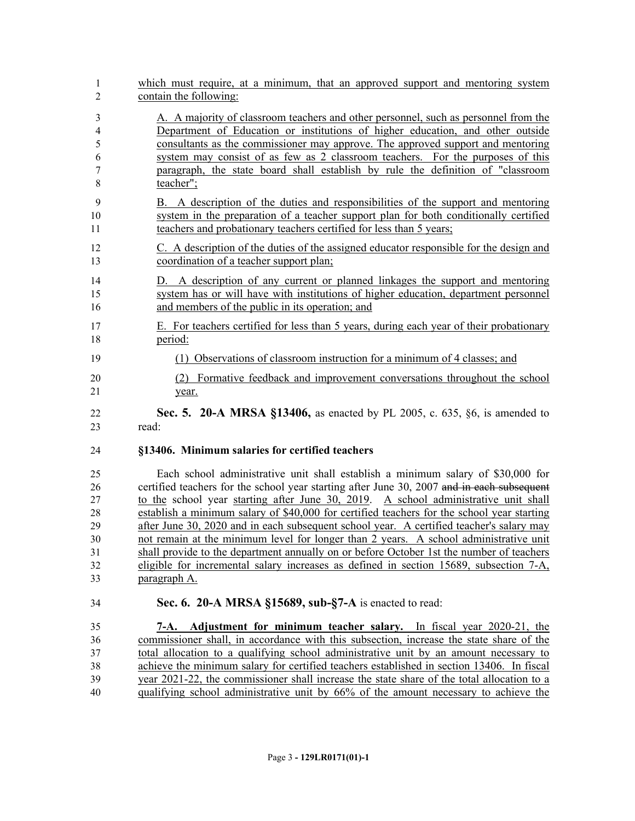| which must require, at a minimum, that an approved support and mentoring system<br>contain the following:                                                                                                                                                                                                                                                                                                                                                                                                                                                                                                                                                                                                                                                      |
|----------------------------------------------------------------------------------------------------------------------------------------------------------------------------------------------------------------------------------------------------------------------------------------------------------------------------------------------------------------------------------------------------------------------------------------------------------------------------------------------------------------------------------------------------------------------------------------------------------------------------------------------------------------------------------------------------------------------------------------------------------------|
| A. A majority of classroom teachers and other personnel, such as personnel from the<br>Department of Education or institutions of higher education, and other outside<br>consultants as the commissioner may approve. The approved support and mentoring<br>system may consist of as few as 2 classroom teachers. For the purposes of this<br>paragraph, the state board shall establish by rule the definition of "classroom"<br>teacher";                                                                                                                                                                                                                                                                                                                    |
| B. A description of the duties and responsibilities of the support and mentoring<br>system in the preparation of a teacher support plan for both conditionally certified<br>teachers and probationary teachers certified for less than 5 years;                                                                                                                                                                                                                                                                                                                                                                                                                                                                                                                |
| C. A description of the duties of the assigned educator responsible for the design and<br>coordination of a teacher support plan;                                                                                                                                                                                                                                                                                                                                                                                                                                                                                                                                                                                                                              |
| D. A description of any current or planned linkages the support and mentoring<br>system has or will have with institutions of higher education, department personnel<br>and members of the public in its operation; and                                                                                                                                                                                                                                                                                                                                                                                                                                                                                                                                        |
| E. For teachers certified for less than 5 years, during each year of their probationary<br>period:                                                                                                                                                                                                                                                                                                                                                                                                                                                                                                                                                                                                                                                             |
| (1) Observations of classroom instruction for a minimum of 4 classes; and                                                                                                                                                                                                                                                                                                                                                                                                                                                                                                                                                                                                                                                                                      |
| Formative feedback and improvement conversations throughout the school<br>(2)<br>year.                                                                                                                                                                                                                                                                                                                                                                                                                                                                                                                                                                                                                                                                         |
| <b>Sec. 5. 20-A MRSA §13406,</b> as enacted by PL 2005, c. 635, §6, is amended to<br>read:                                                                                                                                                                                                                                                                                                                                                                                                                                                                                                                                                                                                                                                                     |
| §13406. Minimum salaries for certified teachers                                                                                                                                                                                                                                                                                                                                                                                                                                                                                                                                                                                                                                                                                                                |
|                                                                                                                                                                                                                                                                                                                                                                                                                                                                                                                                                                                                                                                                                                                                                                |
| Each school administrative unit shall establish a minimum salary of \$30,000 for<br>certified teachers for the school year starting after June 30, 2007 and in each subsequent<br>to the school year starting after June 30, 2019. A school administrative unit shall<br>establish a minimum salary of \$40,000 for certified teachers for the school year starting<br>after June 30, 2020 and in each subsequent school year. A certified teacher's salary may<br>not remain at the minimum level for longer than 2 years. A school administrative unit<br>shall provide to the department annually on or before October 1st the number of teachers<br>eligible for incremental salary increases as defined in section 15689, subsection 7-A,<br>paragraph A. |
| Sec. 6. 20-A MRSA §15689, sub-§7-A is enacted to read:                                                                                                                                                                                                                                                                                                                                                                                                                                                                                                                                                                                                                                                                                                         |
|                                                                                                                                                                                                                                                                                                                                                                                                                                                                                                                                                                                                                                                                                                                                                                |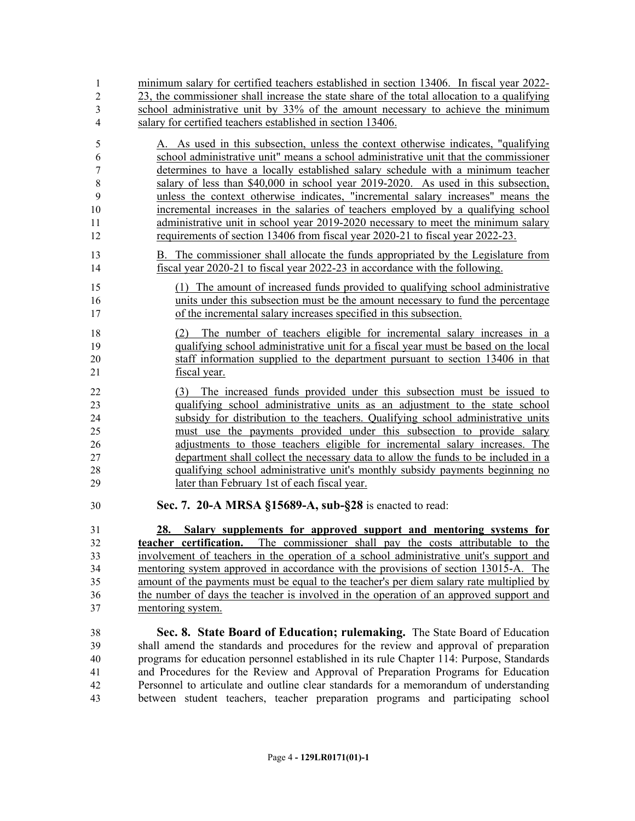| 1                | minimum salary for certified teachers established in section 13406. In fiscal year 2022-    |  |  |  |
|------------------|---------------------------------------------------------------------------------------------|--|--|--|
| $\overline{2}$   | 23, the commissioner shall increase the state share of the total allocation to a qualifying |  |  |  |
| 3                | school administrative unit by 33% of the amount necessary to achieve the minimum            |  |  |  |
| 4                | salary for certified teachers established in section 13406.                                 |  |  |  |
| 5                | A. As used in this subsection, unless the context otherwise indicates, "qualifying          |  |  |  |
| 6                | school administrative unit" means a school administrative unit that the commissioner        |  |  |  |
| $\boldsymbol{7}$ | determines to have a locally established salary schedule with a minimum teacher             |  |  |  |
| 8                | salary of less than \$40,000 in school year 2019-2020. As used in this subsection,          |  |  |  |
| 9                | unless the context otherwise indicates, "incremental salary increases" means the            |  |  |  |
| 10               | incremental increases in the salaries of teachers employed by a qualifying school           |  |  |  |
| 11               | administrative unit in school year 2019-2020 necessary to meet the minimum salary           |  |  |  |
| 12               | requirements of section 13406 from fiscal year 2020-21 to fiscal year 2022-23.              |  |  |  |
| 13               | B. The commissioner shall allocate the funds appropriated by the Legislature from           |  |  |  |
| 14               | fiscal year 2020-21 to fiscal year 2022-23 in accordance with the following.                |  |  |  |
| 15               | (1) The amount of increased funds provided to qualifying school administrative              |  |  |  |
| 16               | units under this subsection must be the amount necessary to fund the percentage             |  |  |  |
| 17               | of the incremental salary increases specified in this subsection.                           |  |  |  |
| 18               | The number of teachers eligible for incremental salary increases in a<br>(2)                |  |  |  |
| 19               | qualifying school administrative unit for a fiscal year must be based on the local          |  |  |  |
| 20               | staff information supplied to the department pursuant to section 13406 in that              |  |  |  |
| 21               | fiscal year.                                                                                |  |  |  |
| 22               | (3) The increased funds provided under this subsection must be issued to                    |  |  |  |
| 23               | qualifying school administrative units as an adjustment to the state school                 |  |  |  |
| 24               | subsidy for distribution to the teachers. Qualifying school administrative units            |  |  |  |
| 25               | must use the payments provided under this subsection to provide salary                      |  |  |  |
| 26               | adjustments to those teachers eligible for incremental salary increases. The                |  |  |  |
| 27               | department shall collect the necessary data to allow the funds to be included in a          |  |  |  |
| 28               | qualifying school administrative unit's monthly subsidy payments beginning no               |  |  |  |
| 29               | later than February 1st of each fiscal year.                                                |  |  |  |
| 30               | Sec. 7. 20-A MRSA §15689-A, sub-§28 is enacted to read:                                     |  |  |  |
| 31               | Salary supplements for approved support and mentoring systems for<br>28.                    |  |  |  |
| 32               | teacher certification. The commissioner shall pay the costs attributable to the             |  |  |  |
| 33               | involvement of teachers in the operation of a school administrative unit's support and      |  |  |  |
| 34               | mentoring system approved in accordance with the provisions of section 13015-A. The         |  |  |  |
| 35               | amount of the payments must be equal to the teacher's per diem salary rate multiplied by    |  |  |  |
| 36               | the number of days the teacher is involved in the operation of an approved support and      |  |  |  |
| 37               | mentoring system.                                                                           |  |  |  |
| 38               | Sec. 8. State Board of Education; rulemaking. The State Board of Education                  |  |  |  |
| 39               | shall amend the standards and procedures for the review and approval of preparation         |  |  |  |
| $\Lambda$        |                                                                                             |  |  |  |

 programs for education personnel established in its rule Chapter 114: Purpose, Standards and Procedures for the Review and Approval of Preparation Programs for Education A<br>
42 Personnel to articulate and outline clear standards for a memorandum of understanding between student teachers, teacher preparation programs and participating school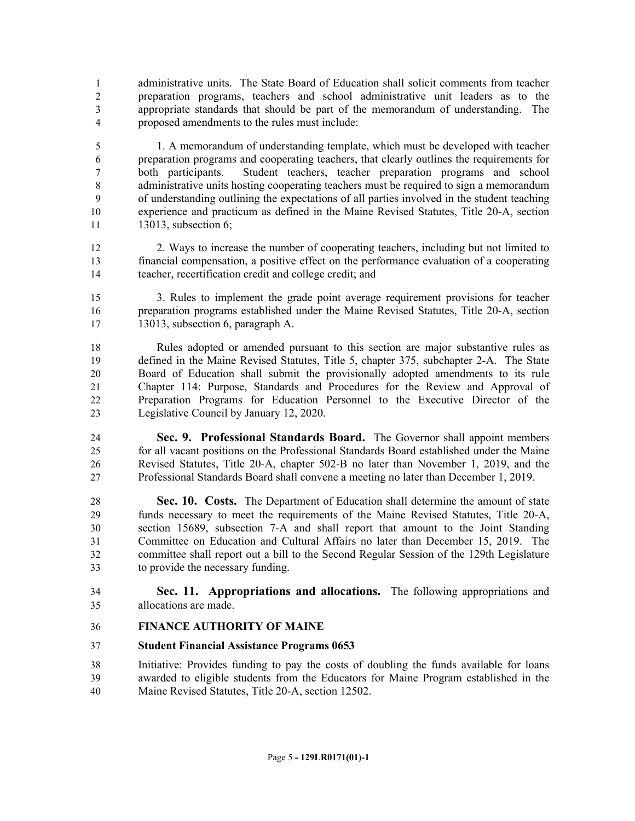administrative units. The State Board of Education shall solicit comments from teacher preparation programs, teachers and school administrative unit leaders as to the appropriate standards that should be part of the memorandum of understanding. The proposed amendments to the rules must include:

 1. A memorandum of understanding template, which must be developed with teacher preparation programs and cooperating teachers, that clearly outlines the requirements for both participants. Student teachers, teacher preparation programs and school administrative units hosting cooperating teachers must be required to sign a memorandum of understanding outlining the expectations of all parties involved in the student teaching experience and practicum as defined in the Maine Revised Statutes, Title 20-A, section 13013, subsection 6;

 2. Ways to increase the number of cooperating teachers, including but not limited to financial compensation, a positive effect on the performance evaluation of a cooperating teacher, recertification credit and college credit; and

 3. Rules to implement the grade point average requirement provisions for teacher preparation programs established under the Maine Revised Statutes, Title 20-A, section 13013, subsection 6, paragraph A.

 Rules adopted or amended pursuant to this section are major substantive rules as defined in the Maine Revised Statutes, Title 5, chapter 375, subchapter 2-A. The State Board of Education shall submit the provisionally adopted amendments to its rule Chapter 114: Purpose, Standards and Procedures for the Review and Approval of Preparation Programs for Education Personnel to the Executive Director of the Legislative Council by January 12, 2020.

 **Sec. 9. Professional Standards Board.** The Governor shall appoint members for all vacant positions on the Professional Standards Board established under the Maine Revised Statutes, Title 20-A, chapter 502-B no later than November 1, 2019, and the Professional Standards Board shall convene a meeting no later than December 1, 2019.

 **Sec. 10. Costs.** The Department of Education shall determine the amount of state funds necessary to meet the requirements of the Maine Revised Statutes, Title 20-A, section 15689, subsection 7-A and shall report that amount to the Joint Standing Committee on Education and Cultural Affairs no later than December 15, 2019. The committee shall report out a bill to the Second Regular Session of the 129th Legislature to provide the necessary funding.

 **Sec. 11. Appropriations and allocations.** The following appropriations and allocations are made.

## **FINANCE AUTHORITY OF MAINE**

#### **Student Financial Assistance Programs 0653**

 Initiative: Provides funding to pay the costs of doubling the funds available for loans awarded to eligible students from the Educators for Maine Program established in the Maine Revised Statutes, Title 20-A, section 12502.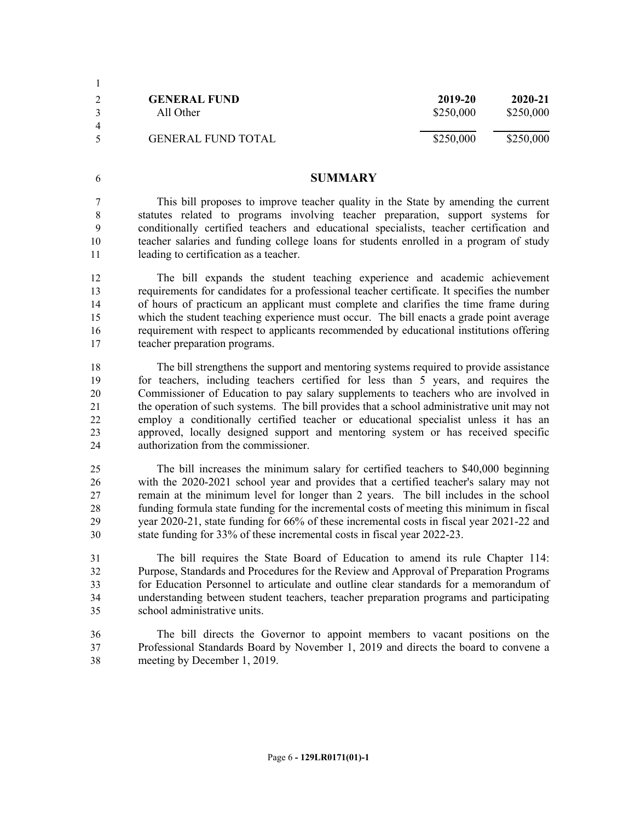|                | <b>GENERAL FUND</b>       | 2019-20   | 2020-21   |  |
|----------------|---------------------------|-----------|-----------|--|
|                | All Other                 | \$250,000 | \$250,000 |  |
| $\overline{4}$ |                           |           |           |  |
| $\zeta$        | <b>GENERAL FUND TOTAL</b> | \$250,000 | \$250,000 |  |

#### **SUMMARY**

 This bill proposes to improve teacher quality in the State by amending the current statutes related to programs involving teacher preparation, support systems for conditionally certified teachers and educational specialists, teacher certification and teacher salaries and funding college loans for students enrolled in a program of study leading to certification as a teacher.

 The bill expands the student teaching experience and academic achievement requirements for candidates for a professional teacher certificate. It specifies the number of hours of practicum an applicant must complete and clarifies the time frame during 15 which the student teaching experience must occur. The bill enacts a grade point average requirement with respect to applicants recommended by educational institutions offering teacher preparation programs.

 The bill strengthens the support and mentoring systems required to provide assistance for teachers, including teachers certified for less than 5 years, and requires the Commissioner of Education to pay salary supplements to teachers who are involved in the operation of such systems. The bill provides that a school administrative unit may not employ a conditionally certified teacher or educational specialist unless it has an approved, locally designed support and mentoring system or has received specific authorization from the commissioner.

 The bill increases the minimum salary for certified teachers to \$40,000 beginning with the 2020-2021 school year and provides that a certified teacher's salary may not remain at the minimum level for longer than 2 years. The bill includes in the school funding formula state funding for the incremental costs of meeting this minimum in fiscal year 2020-21, state funding for 66% of these incremental costs in fiscal year 2021-22 and state funding for 33% of these incremental costs in fiscal year 2022-23.

 The bill requires the State Board of Education to amend its rule Chapter 114: Purpose, Standards and Procedures for the Review and Approval of Preparation Programs for Education Personnel to articulate and outline clear standards for a memorandum of understanding between student teachers, teacher preparation programs and participating school administrative units.

 The bill directs the Governor to appoint members to vacant positions on the Professional Standards Board by November 1, 2019 and directs the board to convene a meeting by December 1, 2019.